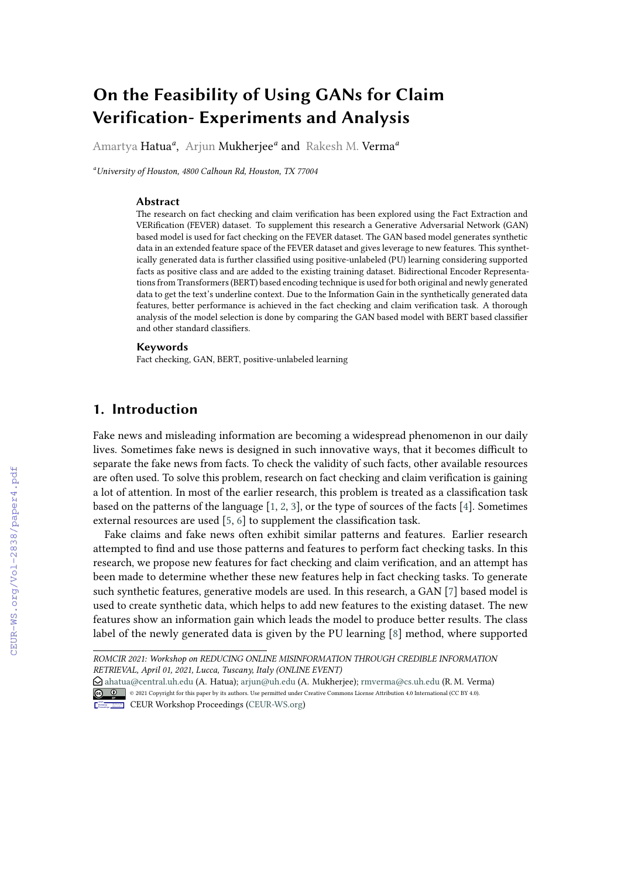# **On the Feasibility of Using GANs for Claim Verification- Experiments and Analysis**

Amartya Hatua*<sup>a</sup>* , Arjun Mukherjee*<sup>a</sup>* and Rakesh M. Verma*<sup>a</sup>*

*<sup>a</sup>University of Houston, 4800 Calhoun Rd, Houston, TX 77004*

#### **Abstract**

The research on fact checking and claim verification has been explored using the Fact Extraction and VERification (FEVER) dataset. To supplement this research a Generative Adversarial Network (GAN) based model is used for fact checking on the FEVER dataset. The GAN based model generates synthetic data in an extended feature space of the FEVER dataset and gives leverage to new features. This synthetically generated data is further classified using positive-unlabeled (PU) learning considering supported facts as positive class and are added to the existing training dataset. Bidirectional Encoder Representations from Transformers (BERT) based encoding technique is used for both original and newly generated data to get the text's underline context. Due to the Information Gain in the synthetically generated data features, better performance is achieved in the fact checking and claim verification task. A thorough analysis of the model selection is done by comparing the GAN based model with BERT based classifier and other standard classifiers.

#### **Keywords**

Fact checking, GAN, BERT, positive-unlabeled learning

# **1. Introduction**

Fake news and misleading information are becoming a widespread phenomenon in our daily lives. Sometimes fake news is designed in such innovative ways, that it becomes difficult to separate the fake news from facts. To check the validity of such facts, other available resources are often used. To solve this problem, research on fact checking and claim verification is gaining a lot of attention. In most of the earlier research, this problem is treated as a classification task based on the patterns of the language [\[1,](#page--1-0) [2,](#page--1-1) [3\]](#page--1-2), or the type of sources of the facts [\[4\]](#page--1-3). Sometimes external resources are used [\[5,](#page--1-4) [6\]](#page--1-5) to supplement the classification task.

Fake claims and fake news often exhibit similar patterns and features. Earlier research attempted to find and use those patterns and features to perform fact checking tasks. In this research, we propose new features for fact checking and claim verification, and an attempt has been made to determine whether these new features help in fact checking tasks. To generate such synthetic features, generative models are used. In this research, a GAN [\[7\]](#page--1-6) based model is used to create synthetic data, which helps to add new features to the existing dataset. The new features show an information gain which leads the model to produce better results. The class label of the newly generated data is given by the PU learning [\[8\]](#page--1-7) method, where supported

*ROMCIR 2021: Workshop on REDUCING ONLINE MISINFORMATION THROUGH CREDIBLE INFORMATION RETRIEVAL, April 01, 2021, Lucca, Tuscany, Italy (ONLINE EVENT)*

 $\Theta$ [ahatua@central.uh.edu](mailto:ahatua@central.uh.edu) (A. Hatua); [arjun@uh.edu](mailto:arjun@uh.edu) (A. Mukherjee); [rmverma@cs.uh.edu](mailto:rmverma@cs.uh.edu) (R.M. Verma) © 2021 Copyright for this paper by its authors. Use permitted under Creative Commons License Attribution 4.0 International (CC BY 4.0). CEUR Workshop [Proceedings](http://ceur-ws.org) [\(CEUR-WS.org\)](http://ceur-ws.org)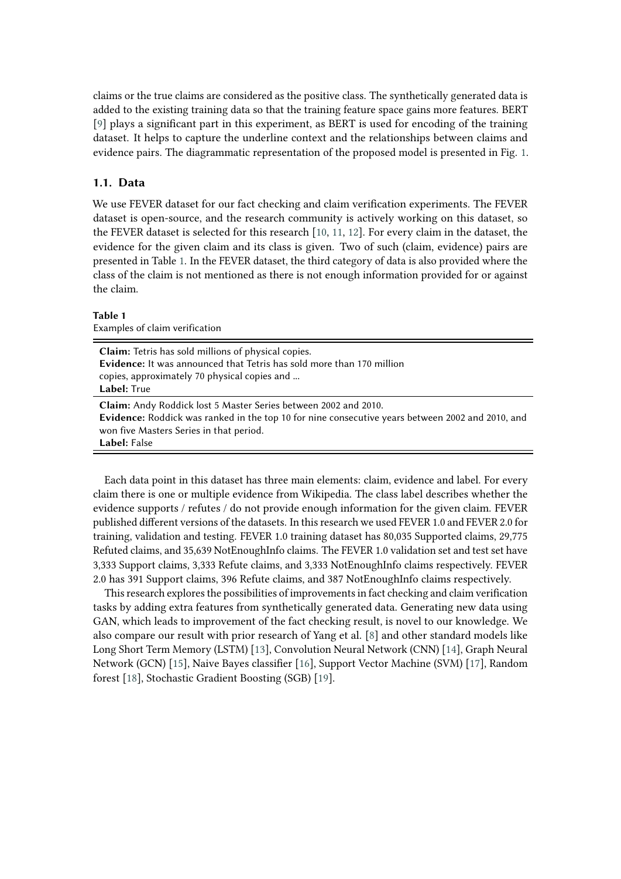claims or the true claims are considered as the positive class. The synthetically generated data is added to the existing training data so that the training feature space gains more features. BERT [\[9\]](#page-9-0) plays a significant part in this experiment, as BERT is used for encoding of the training dataset. It helps to capture the underline context and the relationships between claims and evidence pairs. The diagrammatic representation of the proposed model is presented in Fig. [1.](#page-2-0)

### **1.1. Data**

We use FEVER dataset for our fact checking and claim verification experiments. The FEVER dataset is open-source, and the research community is actively working on this dataset, so the FEVER dataset is selected for this research [\[10,](#page-9-1) [11,](#page-9-2) [12\]](#page-9-3). For every claim in the dataset, the evidence for the given claim and its class is given. Two of such (claim, evidence) pairs are presented in Table [1.](#page-1-0) In the FEVER dataset, the third category of data is also provided where the class of the claim is not mentioned as there is not enough information provided for or against the claim.

### **Table 1**

<span id="page-1-0"></span>

| Examples of claim verification                                                                                                                                                                                                        |
|---------------------------------------------------------------------------------------------------------------------------------------------------------------------------------------------------------------------------------------|
| <b>Claim:</b> Tetris has sold millions of physical copies.<br><b>Evidence:</b> It was announced that Tetris has sold more than 170 million<br>copies, approximately 70 physical copies and<br>Label: True                             |
| <b>Claim:</b> Andy Roddick lost 5 Master Series between 2002 and 2010.<br>Evidence: Roddick was ranked in the top 10 for nine consecutive years between 2002 and 2010, and<br>won five Masters Series in that period.<br>Label: False |

Each data point in this dataset has three main elements: claim, evidence and label. For every claim there is one or multiple evidence from Wikipedia. The class label describes whether the evidence supports / refutes / do not provide enough information for the given claim. FEVER published different versions of the datasets. In this research we used FEVER 1.0 and FEVER 2.0 for training, validation and testing. FEVER 1.0 training dataset has 80,035 Supported claims, 29,775 Refuted claims, and 35,639 NotEnoughInfo claims. The FEVER 1.0 validation set and test set have 3,333 Support claims, 3,333 Refute claims, and 3,333 NotEnoughInfo claims respectively. FEVER 2.0 has 391 Support claims, 396 Refute claims, and 387 NotEnoughInfo claims respectively.

This research explores the possibilities of improvements in fact checking and claim verification tasks by adding extra features from synthetically generated data. Generating new data using GAN, which leads to improvement of the fact checking result, is novel to our knowledge. We also compare our result with prior research of Yang et al. [\[8\]](#page-9-4) and other standard models like Long Short Term Memory (LSTM) [\[13\]](#page-9-5), Convolution Neural Network (CNN) [\[14\]](#page-9-6), Graph Neural Network (GCN) [\[15\]](#page-9-7), Naive Bayes classifier [\[16\]](#page-10-0), Support Vector Machine (SVM) [\[17\]](#page-10-1), Random forest [\[18\]](#page-10-2), Stochastic Gradient Boosting (SGB) [\[19\]](#page-10-3).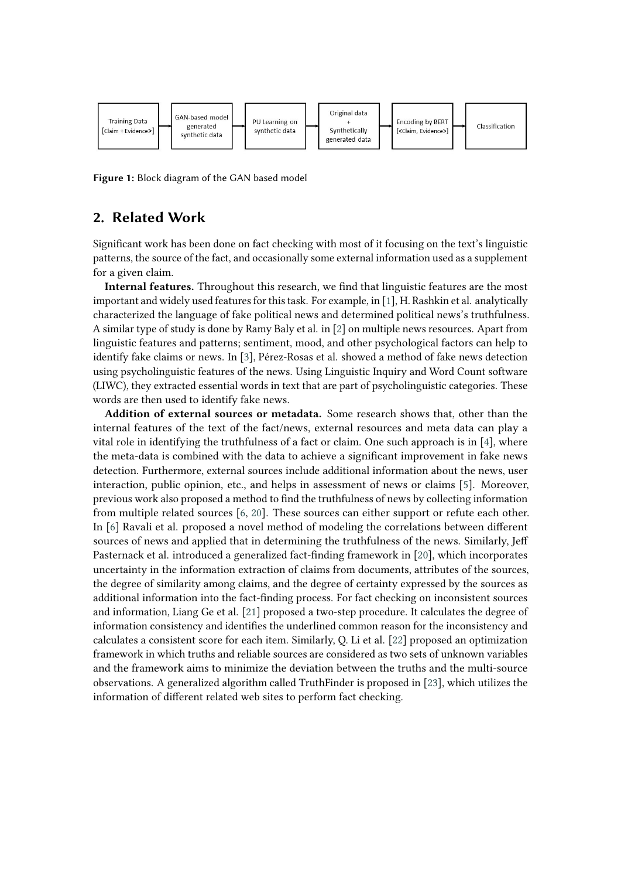

<span id="page-2-0"></span>**Figure 1:** Block diagram of the GAN based model

# **2. Related Work**

Significant work has been done on fact checking with most of it focusing on the text's linguistic patterns, the source of the fact, and occasionally some external information used as a supplement for a given claim.

**Internal features.** Throughout this research, we find that linguistic features are the most important and widely used features for this task. For example, in [\[1\]](#page-9-8), H. Rashkin et al. analytically characterized the language of fake political news and determined political news's truthfulness. A similar type of study is done by Ramy Baly et al. in [\[2\]](#page-9-9) on multiple news resources. Apart from linguistic features and patterns; sentiment, mood, and other psychological factors can help to identify fake claims or news. In [\[3\]](#page-9-10), Pérez-Rosas et al. showed a method of fake news detection using psycholinguistic features of the news. Using Linguistic Inquiry and Word Count software (LIWC), they extracted essential words in text that are part of psycholinguistic categories. These words are then used to identify fake news.

**Addition of external sources or metadata.** Some research shows that, other than the internal features of the text of the fact/news, external resources and meta data can play a vital role in identifying the truthfulness of a fact or claim. One such approach is in [\[4\]](#page-9-11), where the meta-data is combined with the data to achieve a significant improvement in fake news detection. Furthermore, external sources include additional information about the news, user interaction, public opinion, etc., and helps in assessment of news or claims [\[5\]](#page-9-12). Moreover, previous work also proposed a method to find the truthfulness of news by collecting information from multiple related sources [\[6,](#page-9-13) [20\]](#page-10-4). These sources can either support or refute each other. In [\[6\]](#page-9-13) Ravali et al. proposed a novel method of modeling the correlations between different sources of news and applied that in determining the truthfulness of the news. Similarly, Jeff Pasternack et al. introduced a generalized fact-finding framework in [\[20\]](#page-10-4), which incorporates uncertainty in the information extraction of claims from documents, attributes of the sources, the degree of similarity among claims, and the degree of certainty expressed by the sources as additional information into the fact-finding process. For fact checking on inconsistent sources and information, Liang Ge et al. [\[21\]](#page-10-5) proposed a two-step procedure. It calculates the degree of information consistency and identifies the underlined common reason for the inconsistency and calculates a consistent score for each item. Similarly, Q. Li et al. [\[22\]](#page-10-6) proposed an optimization framework in which truths and reliable sources are considered as two sets of unknown variables and the framework aims to minimize the deviation between the truths and the multi-source observations. A generalized algorithm called TruthFinder is proposed in [\[23\]](#page-10-7), which utilizes the information of different related web sites to perform fact checking.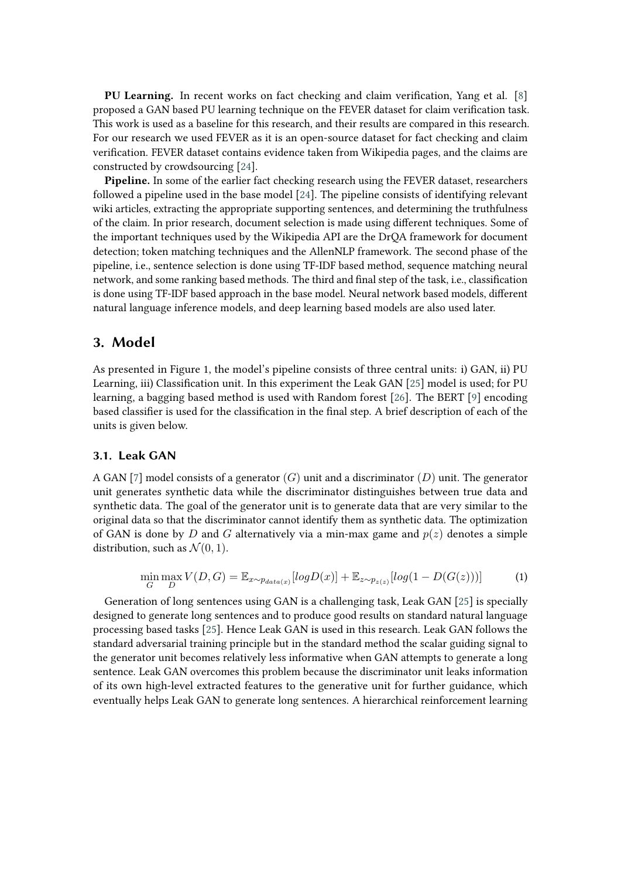**PU Learning.** In recent works on fact checking and claim verification, Yang et al. [\[8\]](#page-9-4) proposed a GAN based PU learning technique on the FEVER dataset for claim verification task. This work is used as a baseline for this research, and their results are compared in this research. For our research we used FEVER as it is an open-source dataset for fact checking and claim verification. FEVER dataset contains evidence taken from Wikipedia pages, and the claims are constructed by crowdsourcing [\[24\]](#page-10-8).

**Pipeline.** In some of the earlier fact checking research using the FEVER dataset, researchers followed a pipeline used in the base model [\[24\]](#page-10-8). The pipeline consists of identifying relevant wiki articles, extracting the appropriate supporting sentences, and determining the truthfulness of the claim. In prior research, document selection is made using different techniques. Some of the important techniques used by the Wikipedia API are the DrQA framework for document detection; token matching techniques and the AllenNLP framework. The second phase of the pipeline, i.e., sentence selection is done using TF-IDF based method, sequence matching neural network, and some ranking based methods. The third and final step of the task, i.e., classification is done using TF-IDF based approach in the base model. Neural network based models, different natural language inference models, and deep learning based models are also used later.

### **3. Model**

As presented in Figure 1, the model's pipeline consists of three central units: i) GAN, ii) PU Learning, iii) Classification unit. In this experiment the Leak GAN [\[25\]](#page-10-9) model is used; for PU learning, a bagging based method is used with Random forest [\[26\]](#page-10-10). The BERT [\[9\]](#page-9-0) encoding based classifier is used for the classification in the final step. A brief description of each of the units is given below.

### **3.1. Leak GAN**

A GAN [\[7\]](#page-9-14) model consists of a generator  $(G)$  unit and a discriminator  $(D)$  unit. The generator unit generates synthetic data while the discriminator distinguishes between true data and synthetic data. The goal of the generator unit is to generate data that are very similar to the original data so that the discriminator cannot identify them as synthetic data. The optimization of GAN is done by D and G alternatively via a min-max game and  $p(z)$  denotes a simple distribution, such as  $\mathcal{N}(0, 1)$ .

$$
\min_{G} \max_{D} V(D, G) = \mathbb{E}_{x \sim p_{data(x)}}[log D(x)] + \mathbb{E}_{z \sim p_{z(z)}}[log(1 - D(G(z)))] \tag{1}
$$

Generation of long sentences using GAN is a challenging task, Leak GAN [\[25\]](#page-10-9) is specially designed to generate long sentences and to produce good results on standard natural language processing based tasks [\[25\]](#page-10-9). Hence Leak GAN is used in this research. Leak GAN follows the standard adversarial training principle but in the standard method the scalar guiding signal to the generator unit becomes relatively less informative when GAN attempts to generate a long sentence. Leak GAN overcomes this problem because the discriminator unit leaks information of its own high-level extracted features to the generative unit for further guidance, which eventually helps Leak GAN to generate long sentences. A hierarchical reinforcement learning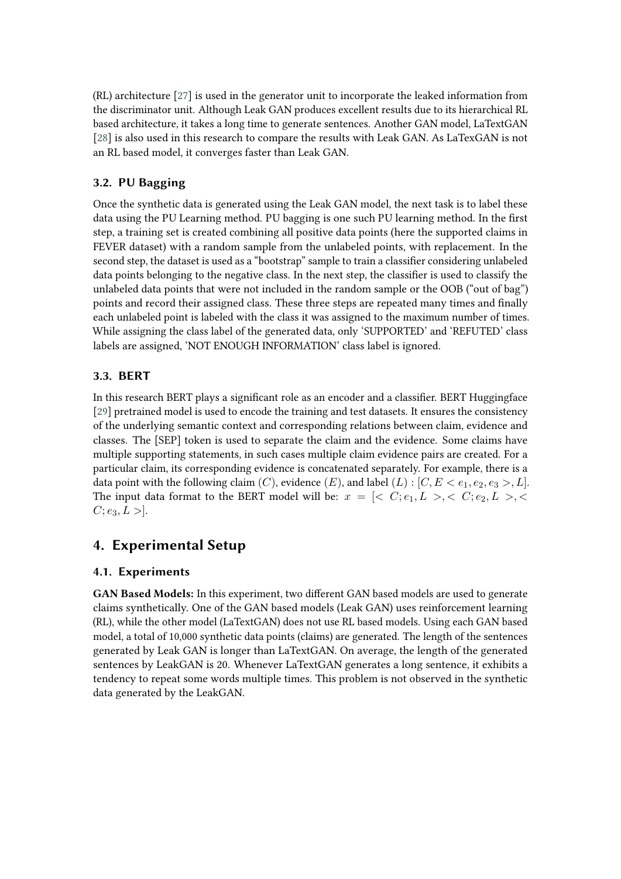(RL) architecture [\[27\]](#page-10-11) is used in the generator unit to incorporate the leaked information from the discriminator unit. Although Leak GAN produces excellent results due to its hierarchical RL based architecture, it takes a long time to generate sentences. Another GAN model, LaTextGAN [\[28\]](#page-10-12) is also used in this research to compare the results with Leak GAN. As LaTexGAN is not an RL based model, it converges faster than Leak GAN.

# **3.2. PU Bagging**

Once the synthetic data is generated using the Leak GAN model, the next task is to label these data using the PU Learning method. PU bagging is one such PU learning method. In the first step, a training set is created combining all positive data points (here the supported claims in FEVER dataset) with a random sample from the unlabeled points, with replacement. In the second step, the dataset is used as a "bootstrap" sample to train a classifier considering unlabeled data points belonging to the negative class. In the next step, the classifier is used to classify the unlabeled data points that were not included in the random sample or the OOB ("out of bag") points and record their assigned class. These three steps are repeated many times and finally each unlabeled point is labeled with the class it was assigned to the maximum number of times. While assigning the class label of the generated data, only 'SUPPORTED' and 'REFUTED' class labels are assigned, 'NOT ENOUGH INFORMATION' class label is ignored.

### **3.3. BERT**

In this research BERT plays a significant role as an encoder and a classifier. BERT Huggingface [\[29\]](#page-10-13) pretrained model is used to encode the training and test datasets. It ensures the consistency of the underlying semantic context and corresponding relations between claim, evidence and classes. The [SEP] token is used to separate the claim and the evidence. Some claims have multiple supporting statements, in such cases multiple claim evidence pairs are created. For a particular claim, its corresponding evidence is concatenated separately. For example, there is a data point with the following claim  $(C)$ , evidence  $(E)$ , and label  $(L)$  :  $[C, E < e_1, e_2, e_3 > L]$ . The input data format to the BERT model will be:  $x = \{ \langle C; e_1, L \rangle, \langle C; e_2, L \rangle, \langle C; e_3, L \rangle, \langle C; e_4, L \rangle, \langle C; e_5, L \rangle, \langle C; e_6, L \rangle, \langle C; e_7, L \rangle, \langle C; e_7, L \rangle, \langle C; e_8, L \rangle, \langle C; e_9, L \rangle, \langle C; e_9, L \rangle, \langle C; e_9, L \rangle, \langle C; e_9, L \rangle, \langle C; e_9, L \rangle$  $C: e_3, L >$ .

# **4. Experimental Setup**

### **4.1. Experiments**

**GAN Based Models:** In this experiment, two different GAN based models are used to generate claims synthetically. One of the GAN based models (Leak GAN) uses reinforcement learning (RL), while the other model (LaTextGAN) does not use RL based models. Using each GAN based model, a total of 10,000 synthetic data points (claims) are generated. The length of the sentences generated by Leak GAN is longer than LaTextGAN. On average, the length of the generated sentences by LeakGAN is 20. Whenever LaTextGAN generates a long sentence, it exhibits a tendency to repeat some words multiple times. This problem is not observed in the synthetic data generated by the LeakGAN.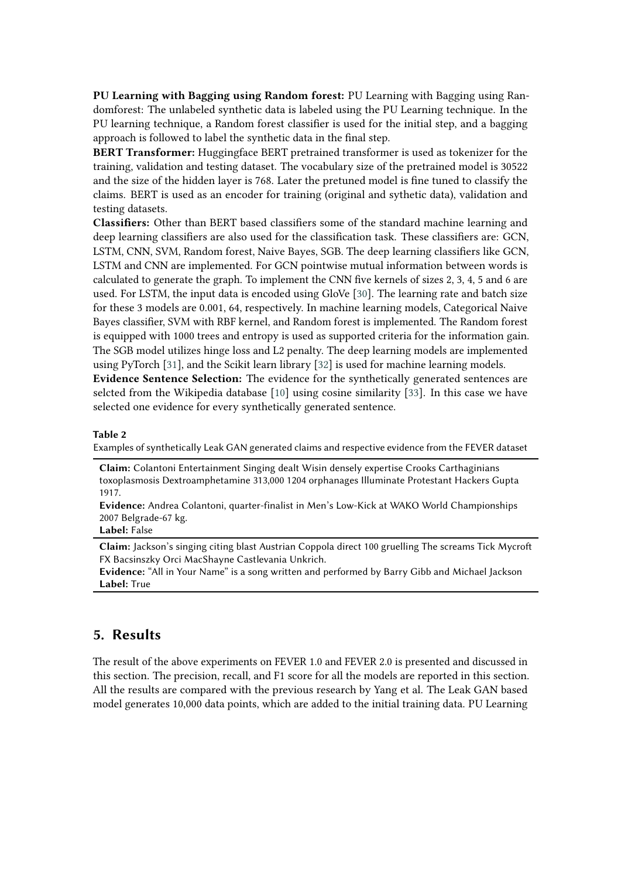**PU Learning with Bagging using Random forest:** PU Learning with Bagging using Randomforest: The unlabeled synthetic data is labeled using the PU Learning technique. In the PU learning technique, a Random forest classifier is used for the initial step, and a bagging approach is followed to label the synthetic data in the final step.

**BERT Transformer:** Huggingface BERT pretrained transformer is used as tokenizer for the training, validation and testing dataset. The vocabulary size of the pretrained model is 30522 and the size of the hidden layer is 768. Later the pretuned model is fine tuned to classify the claims. BERT is used as an encoder for training (original and sythetic data), validation and testing datasets.

**Classifiers:** Other than BERT based classifiers some of the standard machine learning and deep learning classifiers are also used for the classification task. These classifiers are: GCN, LSTM, CNN, SVM, Random forest, Naive Bayes, SGB. The deep learning classifiers like GCN, LSTM and CNN are implemented. For GCN pointwise mutual information between words is calculated to generate the graph. To implement the CNN five kernels of sizes 2, 3, 4, 5 and 6 are used. For LSTM, the input data is encoded using GloVe [\[30\]](#page-10-14). The learning rate and batch size for these 3 models are 0.001, 64, respectively. In machine learning models, Categorical Naive Bayes classifier, SVM with RBF kernel, and Random forest is implemented. The Random forest is equipped with 1000 trees and entropy is used as supported criteria for the information gain. The SGB model utilizes hinge loss and L2 penalty. The deep learning models are implemented using PyTorch [\[31\]](#page-10-15), and the Scikit learn library [\[32\]](#page-10-16) is used for machine learning models.

**Evidence Sentence Selection:** The evidence for the synthetically generated sentences are selcted from the Wikipedia database [\[10\]](#page-9-1) using cosine similarity [\[33\]](#page-11-0). In this case we have selected one evidence for every synthetically generated sentence.

#### **Table 2**

Examples of synthetically Leak GAN generated claims and respective evidence from the FEVER dataset

**Claim:** Colantoni Entertainment Singing dealt Wisin densely expertise Crooks Carthaginians toxoplasmosis Dextroamphetamine 313,000 1204 orphanages Illuminate Protestant Hackers Gupta 1917.

**Evidence:** Andrea Colantoni, quarter-finalist in Men's Low-Kick at WAKO World Championships 2007 Belgrade-67 kg.

### **Label:** False

**Claim:** Jackson's singing citing blast Austrian Coppola direct 100 gruelling The screams Tick Mycroft FX Bacsinszky Orci MacShayne Castlevania Unkrich.

**Evidence:** "All in Your Name" is a song written and performed by Barry Gibb and Michael Jackson **Label:** True

# **5. Results**

The result of the above experiments on FEVER 1.0 and FEVER 2.0 is presented and discussed in this section. The precision, recall, and F1 score for all the models are reported in this section. All the results are compared with the previous research by Yang et al. The Leak GAN based model generates 10,000 data points, which are added to the initial training data. PU Learning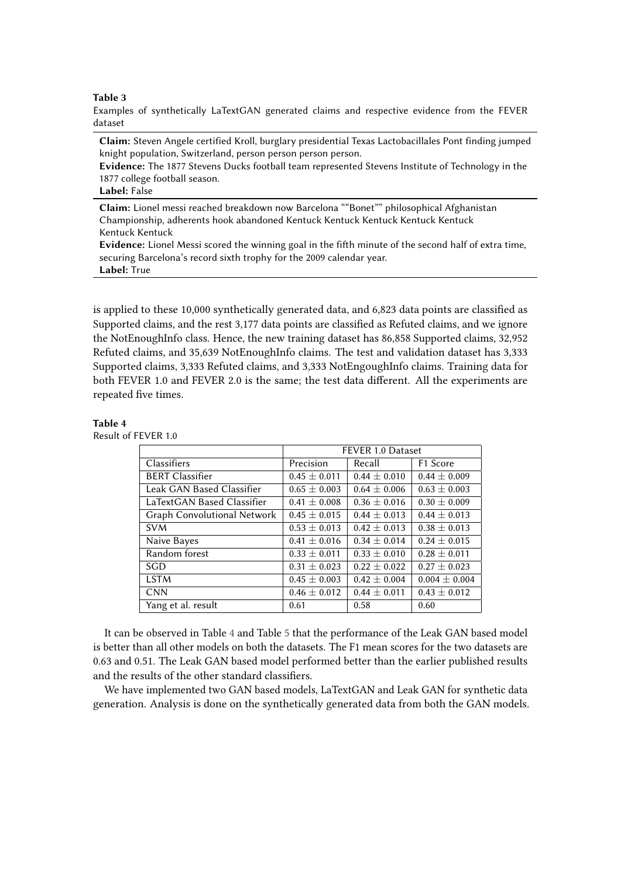#### **Table 3**

Examples of synthetically LaTextGAN generated claims and respective evidence from the FEVER dataset

**Claim:** Steven Angele certified Kroll, burglary presidential Texas Lactobacillales Pont finding jumped knight population, Switzerland, person person person person.

**Evidence:** The 1877 Stevens Ducks football team represented Stevens Institute of Technology in the 1877 college football season.

### **Label:** False

**Claim:** Lionel messi reached breakdown now Barcelona ""Bonet"" philosophical Afghanistan Championship, adherents hook abandoned Kentuck Kentuck Kentuck Kentuck Kentuck Kentuck Kentuck

**Evidence:** Lionel Messi scored the winning goal in the fifth minute of the second half of extra time, securing Barcelona's record sixth trophy for the 2009 calendar year. **Label:** True

is applied to these 10,000 synthetically generated data, and 6,823 data points are classified as Supported claims, and the rest 3,177 data points are classified as Refuted claims, and we ignore the NotEnoughInfo class. Hence, the new training dataset has 86,858 Supported claims, 32,952 Refuted claims, and 35,639 NotEnoughInfo claims. The test and validation dataset has 3,333 Supported claims, 3,333 Refuted claims, and 3,333 NotEngoughInfo claims. Training data for both FEVER 1.0 and FEVER 2.0 is the same; the test data different. All the experiments are repeated five times.

#### **Table 4**

<span id="page-6-0"></span>Result of FEVER 1.0

|                             | FEVER 1.0 Dataset |                  |                   |
|-----------------------------|-------------------|------------------|-------------------|
| Classifiers                 | Precision         | Recall           | F1 Score          |
| <b>BERT Classifier</b>      | $0.45 \pm 0.011$  | $0.44 \pm 0.010$ | $0.44 \pm 0.009$  |
| Leak GAN Based Classifier   | $0.65 \pm 0.003$  | $0.64 \pm 0.006$ | $0.63 \pm 0.003$  |
| LaTextGAN Based Classifier  | $0.41 \pm 0.008$  | $0.36 \pm 0.016$ | $0.30 \pm 0.009$  |
| Graph Convolutional Network | $0.45 \pm 0.015$  | $0.44 \pm 0.013$ | $0.44 \pm 0.013$  |
| <b>SVM</b>                  | $0.53 \pm 0.013$  | $0.42 \pm 0.013$ | $0.38 \pm 0.013$  |
| Naive Bayes                 | $0.41 \pm 0.016$  | $0.34 \pm 0.014$ | $0.24 \pm 0.015$  |
| Random forest               | $0.33 \pm 0.011$  | $0.33 \pm 0.010$ | $0.28 \pm 0.011$  |
| SGD                         | $0.31 \pm 0.023$  | $0.22 \pm 0.022$ | $0.27 \pm 0.023$  |
| <b>LSTM</b>                 | $0.45 \pm 0.003$  | $0.42 \pm 0.004$ | $0.004 \pm 0.004$ |
| <b>CNN</b>                  | $0.46 \pm 0.012$  | $0.44 \pm 0.011$ | $0.43 \pm 0.012$  |
| Yang et al. result          | 0.61              | 0.58             | 0.60              |

It can be observed in Table [4](#page-6-0) and Table [5](#page-7-0) that the performance of the Leak GAN based model is better than all other models on both the datasets. The F1 mean scores for the two datasets are 0.63 and 0.51. The Leak GAN based model performed better than the earlier published results and the results of the other standard classifiers.

We have implemented two GAN based models, LaTextGAN and Leak GAN for synthetic data generation. Analysis is done on the synthetically generated data from both the GAN models.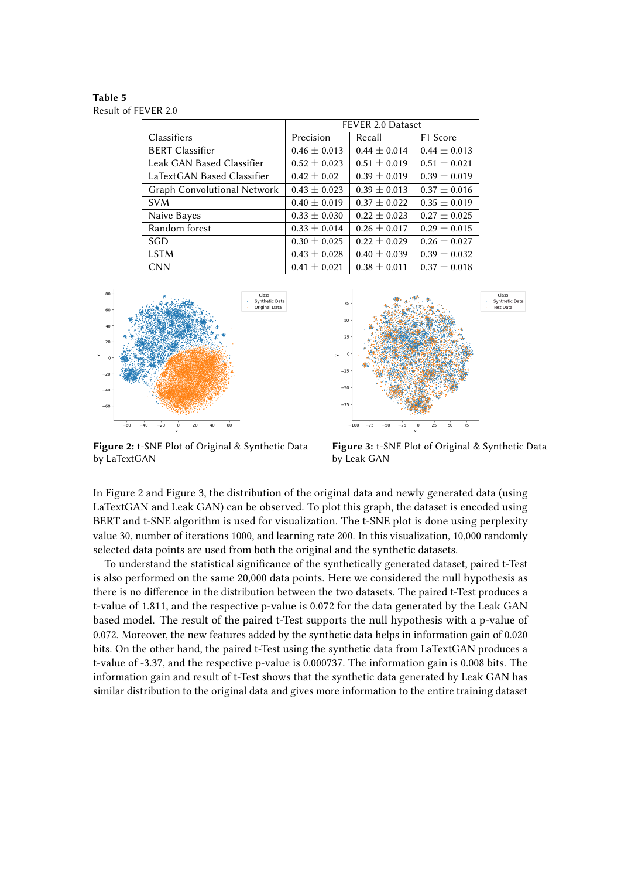<span id="page-7-0"></span>**Table 5** Result of FEVER 2.0

|                             | FEVER 2.0 Dataset |                  |                      |
|-----------------------------|-------------------|------------------|----------------------|
| Classifiers                 | Precision         | Recall           | F <sub>1</sub> Score |
| <b>BERT Classifier</b>      | $0.46 \pm 0.013$  | $0.44 \pm 0.014$ | $0.44 \pm 0.013$     |
| Leak GAN Based Classifier   | $0.52 \pm 0.023$  | $0.51 \pm 0.019$ | $0.51 \pm 0.021$     |
| LaTextGAN Based Classifier  | $0.42 \pm 0.02$   | $0.39 \pm 0.019$ | $0.39 \pm 0.019$     |
| Graph Convolutional Network | $0.43 \pm 0.023$  | $0.39 \pm 0.013$ | $0.37 \pm 0.016$     |
| <b>SVM</b>                  | $0.40 \pm 0.019$  | $0.37 \pm 0.022$ | $0.35 \pm 0.019$     |
| Naive Bayes                 | $0.33 \pm 0.030$  | $0.22 \pm 0.023$ | $0.27 \pm 0.025$     |
| Random forest               | $0.33 \pm 0.014$  | $0.26 \pm 0.017$ | $0.29 \pm 0.015$     |
| SGD                         | $0.30 \pm 0.025$  | $0.22 \pm 0.029$ | $0.26 \pm 0.027$     |
| <b>LSTM</b>                 | $0.43 \pm 0.028$  | $0.40 \pm 0.039$ | $0.39 \pm 0.032$     |
| <b>CNN</b>                  | $0.41 \pm 0.021$  | $0.38 \pm 0.011$ | $0.37 \pm 0.018$     |





**Figure 2:** t-SNE Plot of Original & Synthetic Data by LaTextGAN

**Figure 3:** t-SNE Plot of Original & Synthetic Data by Leak GAN

In Figure 2 and Figure 3, the distribution of the original data and newly generated data (using LaTextGAN and Leak GAN) can be observed. To plot this graph, the dataset is encoded using BERT and t-SNE algorithm is used for visualization. The t-SNE plot is done using perplexity value 30, number of iterations 1000, and learning rate 200. In this visualization, 10,000 randomly selected data points are used from both the original and the synthetic datasets.

To understand the statistical significance of the synthetically generated dataset, paired t-Test is also performed on the same 20,000 data points. Here we considered the null hypothesis as there is no difference in the distribution between the two datasets. The paired t-Test produces a t-value of 1.811, and the respective p-value is 0.072 for the data generated by the Leak GAN based model. The result of the paired t-Test supports the null hypothesis with a p-value of 0.072. Moreover, the new features added by the synthetic data helps in information gain of 0.020 bits. On the other hand, the paired t-Test using the synthetic data from LaTextGAN produces a t-value of -3.37, and the respective p-value is 0.000737. The information gain is 0.008 bits. The information gain and result of t-Test shows that the synthetic data generated by Leak GAN has similar distribution to the original data and gives more information to the entire training dataset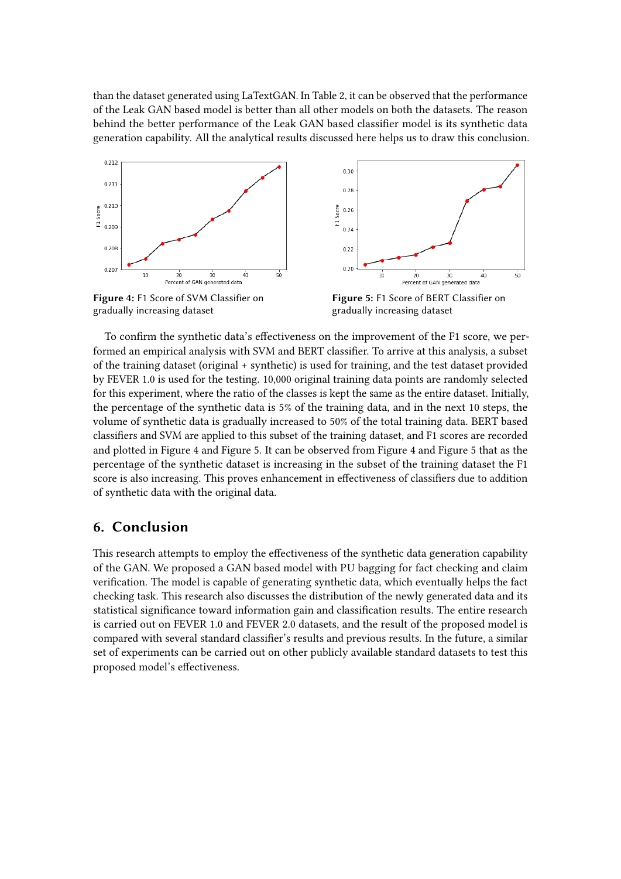than the dataset generated using LaTextGAN. In Table 2, it can be observed that the performance of the Leak GAN based model is better than all other models on both the datasets. The reason behind the better performance of the Leak GAN based classifier model is its synthetic data generation capability. All the analytical results discussed here helps us to draw this conclusion.



gradually increasing dataset



 $50$ 

To confirm the synthetic data's effectiveness on the improvement of the F1 score, we performed an empirical analysis with SVM and BERT classifier. To arrive at this analysis, a subset of the training dataset (original + synthetic) is used for training, and the test dataset provided by FEVER 1.0 is used for the testing. 10,000 original training data points are randomly selected for this experiment, where the ratio of the classes is kept the same as the entire dataset. Initially, the percentage of the synthetic data is 5% of the training data, and in the next 10 steps, the volume of synthetic data is gradually increased to 50% of the total training data. BERT based classifiers and SVM are applied to this subset of the training dataset, and F1 scores are recorded and plotted in Figure 4 and Figure 5. It can be observed from Figure 4 and Figure 5 that as the percentage of the synthetic dataset is increasing in the subset of the training dataset the F1 score is also increasing. This proves enhancement in effectiveness of classifiers due to addition of synthetic data with the original data.

# **6. Conclusion**

This research attempts to employ the effectiveness of the synthetic data generation capability of the GAN. We proposed a GAN based model with PU bagging for fact checking and claim verification. The model is capable of generating synthetic data, which eventually helps the fact checking task. This research also discusses the distribution of the newly generated data and its statistical significance toward information gain and classification results. The entire research is carried out on FEVER 1.0 and FEVER 2.0 datasets, and the result of the proposed model is compared with several standard classifier's results and previous results. In the future, a similar set of experiments can be carried out on other publicly available standard datasets to test this proposed model's effectiveness.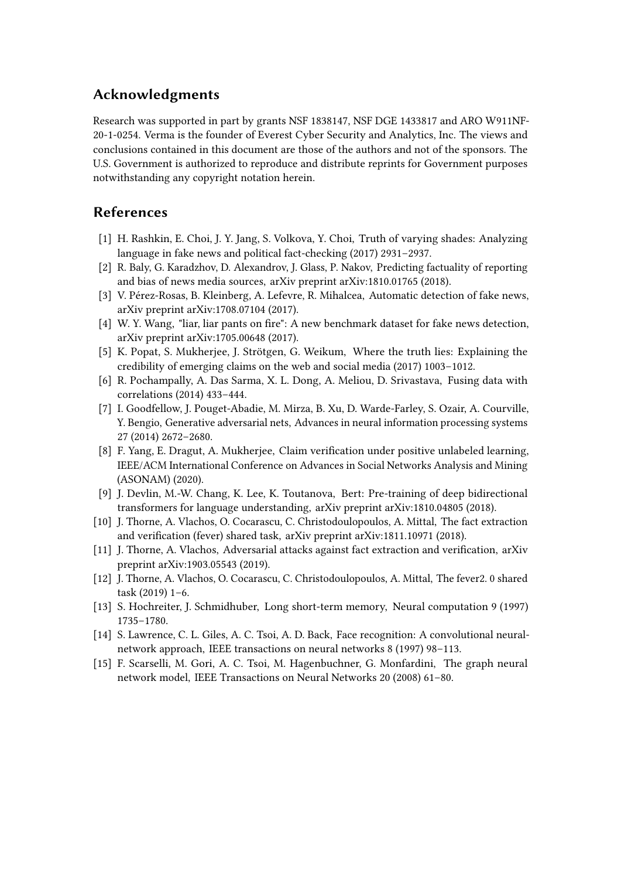# **Acknowledgments**

Research was supported in part by grants NSF 1838147, NSF DGE 1433817 and ARO W911NF-20-1-0254. Verma is the founder of Everest Cyber Security and Analytics, Inc. The views and conclusions contained in this document are those of the authors and not of the sponsors. The U.S. Government is authorized to reproduce and distribute reprints for Government purposes notwithstanding any copyright notation herein.

# **References**

- <span id="page-9-8"></span>[1] H. Rashkin, E. Choi, J. Y. Jang, S. Volkova, Y. Choi, Truth of varying shades: Analyzing language in fake news and political fact-checking (2017) 2931–2937.
- <span id="page-9-9"></span>[2] R. Baly, G. Karadzhov, D. Alexandrov, J. Glass, P. Nakov, Predicting factuality of reporting and bias of news media sources, arXiv preprint arXiv:1810.01765 (2018).
- <span id="page-9-10"></span>[3] V. Pérez-Rosas, B. Kleinberg, A. Lefevre, R. Mihalcea, Automatic detection of fake news, arXiv preprint arXiv:1708.07104 (2017).
- <span id="page-9-11"></span>[4] W. Y. Wang, "liar, liar pants on fire": A new benchmark dataset for fake news detection, arXiv preprint arXiv:1705.00648 (2017).
- <span id="page-9-12"></span>[5] K. Popat, S. Mukherjee, J. Strötgen, G. Weikum, Where the truth lies: Explaining the credibility of emerging claims on the web and social media (2017) 1003–1012.
- <span id="page-9-13"></span>[6] R. Pochampally, A. Das Sarma, X. L. Dong, A. Meliou, D. Srivastava, Fusing data with correlations (2014) 433–444.
- <span id="page-9-14"></span>[7] I. Goodfellow, J. Pouget-Abadie, M. Mirza, B. Xu, D. Warde-Farley, S. Ozair, A. Courville, Y. Bengio, Generative adversarial nets, Advances in neural information processing systems 27 (2014) 2672–2680.
- <span id="page-9-4"></span>[8] F. Yang, E. Dragut, A. Mukherjee, Claim verification under positive unlabeled learning, IEEE/ACM International Conference on Advances in Social Networks Analysis and Mining (ASONAM) (2020).
- <span id="page-9-0"></span>[9] J. Devlin, M.-W. Chang, K. Lee, K. Toutanova, Bert: Pre-training of deep bidirectional transformers for language understanding, arXiv preprint arXiv:1810.04805 (2018).
- <span id="page-9-1"></span>[10] J. Thorne, A. Vlachos, O. Cocarascu, C. Christodoulopoulos, A. Mittal, The fact extraction and verification (fever) shared task, arXiv preprint arXiv:1811.10971 (2018).
- <span id="page-9-2"></span>[11] J. Thorne, A. Vlachos, Adversarial attacks against fact extraction and verification, arXiv preprint arXiv:1903.05543 (2019).
- <span id="page-9-3"></span>[12] J. Thorne, A. Vlachos, O. Cocarascu, C. Christodoulopoulos, A. Mittal, The fever2. 0 shared task (2019) 1–6.
- <span id="page-9-5"></span>[13] S. Hochreiter, J. Schmidhuber, Long short-term memory, Neural computation 9 (1997) 1735–1780.
- <span id="page-9-6"></span>[14] S. Lawrence, C. L. Giles, A. C. Tsoi, A. D. Back, Face recognition: A convolutional neuralnetwork approach, IEEE transactions on neural networks 8 (1997) 98–113.
- <span id="page-9-7"></span>[15] F. Scarselli, M. Gori, A. C. Tsoi, M. Hagenbuchner, G. Monfardini, The graph neural network model, IEEE Transactions on Neural Networks 20 (2008) 61–80.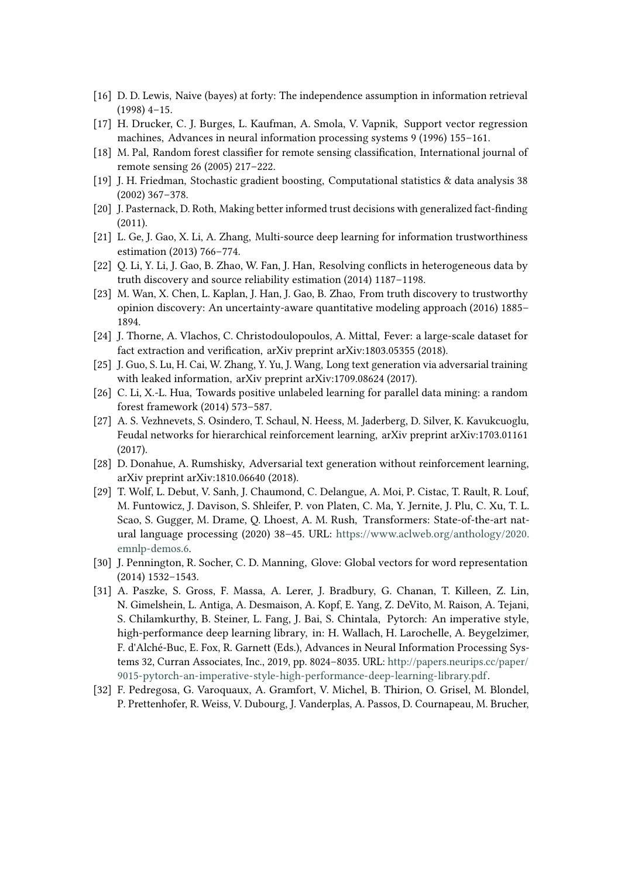- <span id="page-10-0"></span>[16] D. D. Lewis, Naive (bayes) at forty: The independence assumption in information retrieval (1998) 4–15.
- <span id="page-10-1"></span>[17] H. Drucker, C. J. Burges, L. Kaufman, A. Smola, V. Vapnik, Support vector regression machines, Advances in neural information processing systems 9 (1996) 155–161.
- <span id="page-10-2"></span>[18] M. Pal, Random forest classifier for remote sensing classification, International journal of remote sensing 26 (2005) 217–222.
- <span id="page-10-3"></span>[19] J. H. Friedman, Stochastic gradient boosting, Computational statistics & data analysis 38 (2002) 367–378.
- <span id="page-10-4"></span>[20] J. Pasternack, D. Roth, Making better informed trust decisions with generalized fact-finding (2011).
- <span id="page-10-5"></span>[21] L. Ge, J. Gao, X. Li, A. Zhang, Multi-source deep learning for information trustworthiness estimation (2013) 766–774.
- <span id="page-10-6"></span>[22] Q. Li, Y. Li, J. Gao, B. Zhao, W. Fan, J. Han, Resolving conflicts in heterogeneous data by truth discovery and source reliability estimation (2014) 1187–1198.
- <span id="page-10-7"></span>[23] M. Wan, X. Chen, L. Kaplan, J. Han, J. Gao, B. Zhao, From truth discovery to trustworthy opinion discovery: An uncertainty-aware quantitative modeling approach (2016) 1885– 1894.
- <span id="page-10-8"></span>[24] J. Thorne, A. Vlachos, C. Christodoulopoulos, A. Mittal, Fever: a large-scale dataset for fact extraction and verification, arXiv preprint arXiv:1803.05355 (2018).
- <span id="page-10-9"></span>[25] J. Guo, S. Lu, H. Cai, W. Zhang, Y. Yu, J. Wang, Long text generation via adversarial training with leaked information, arXiv preprint arXiv:1709.08624 (2017).
- <span id="page-10-10"></span>[26] C. Li, X.-L. Hua, Towards positive unlabeled learning for parallel data mining: a random forest framework (2014) 573–587.
- <span id="page-10-11"></span>[27] A. S. Vezhnevets, S. Osindero, T. Schaul, N. Heess, M. Jaderberg, D. Silver, K. Kavukcuoglu, Feudal networks for hierarchical reinforcement learning, arXiv preprint arXiv:1703.01161 (2017).
- <span id="page-10-12"></span>[28] D. Donahue, A. Rumshisky, Adversarial text generation without reinforcement learning, arXiv preprint arXiv:1810.06640 (2018).
- <span id="page-10-13"></span>[29] T. Wolf, L. Debut, V. Sanh, J. Chaumond, C. Delangue, A. Moi, P. Cistac, T. Rault, R. Louf, M. Funtowicz, J. Davison, S. Shleifer, P. von Platen, C. Ma, Y. Jernite, J. Plu, C. Xu, T. L. Scao, S. Gugger, M. Drame, Q. Lhoest, A. M. Rush, Transformers: State-of-the-art natural language processing (2020) 38–45. URL: [https://www.aclweb.org/anthology/2020.](https://www.aclweb.org/anthology/2020.emnlp-demos.6) [emnlp-demos.6.](https://www.aclweb.org/anthology/2020.emnlp-demos.6)
- <span id="page-10-14"></span>[30] J. Pennington, R. Socher, C. D. Manning, Glove: Global vectors for word representation (2014) 1532–1543.
- <span id="page-10-15"></span>[31] A. Paszke, S. Gross, F. Massa, A. Lerer, J. Bradbury, G. Chanan, T. Killeen, Z. Lin, N. Gimelshein, L. Antiga, A. Desmaison, A. Kopf, E. Yang, Z. DeVito, M. Raison, A. Tejani, S. Chilamkurthy, B. Steiner, L. Fang, J. Bai, S. Chintala, Pytorch: An imperative style, high-performance deep learning library, in: H. Wallach, H. Larochelle, A. Beygelzimer, F. d'Alché-Buc, E. Fox, R. Garnett (Eds.), Advances in Neural Information Processing Systems 32, Curran Associates, Inc., 2019, pp. 8024–8035. URL: [http://papers.neurips.cc/paper/](http://papers.neurips.cc/paper/9015-pytorch-an-imperative-style-high-performance-deep-learning-library.pdf) [9015-pytorch-an-imperative-style-high-performance-deep-learning-library.pdf.](http://papers.neurips.cc/paper/9015-pytorch-an-imperative-style-high-performance-deep-learning-library.pdf)
- <span id="page-10-16"></span>[32] F. Pedregosa, G. Varoquaux, A. Gramfort, V. Michel, B. Thirion, O. Grisel, M. Blondel, P. Prettenhofer, R. Weiss, V. Dubourg, J. Vanderplas, A. Passos, D. Cournapeau, M. Brucher,